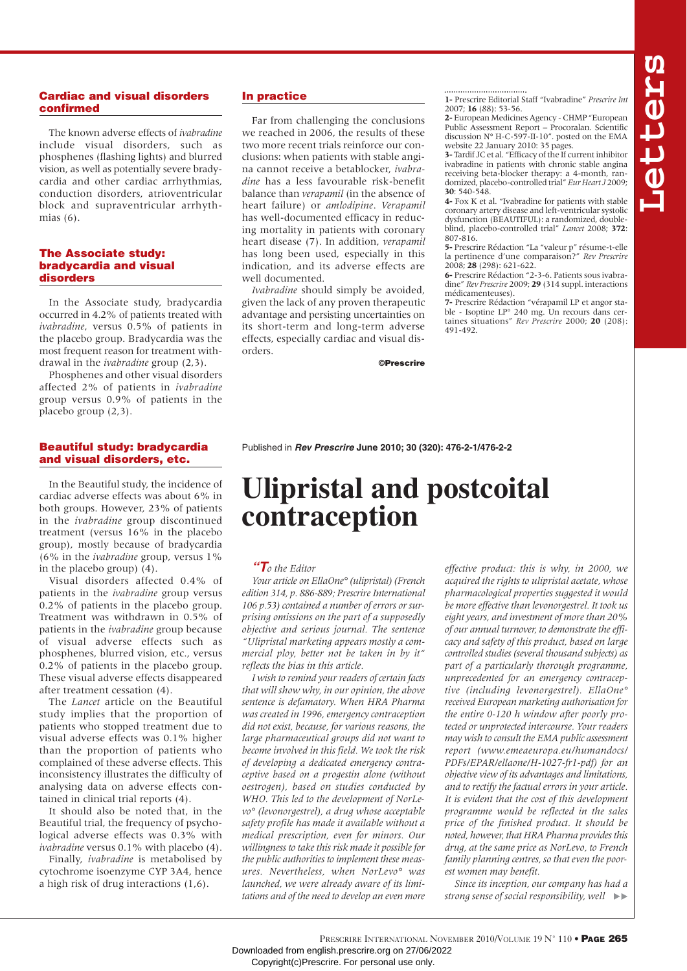# Cardiac and visual disorders confirmed

The known adverse effects of *ivabradine* include visual disorders, such as phosphenes (flashing lights) and blurred vision, as well as potentially severe bradycardia and other cardiac arrhythmias, conduction disorders, atrioventricular block and supraventricular arrhythmias (6).

## The Associate study: bradycardia and visual disorders

In the Associate study, bradycardia occurred in 4.2% of patients treated with *ivabradine*, versus 0.5% of patients in the placebo group. Bradycardia was the most frequent reason for treatment withdrawal in the *ivabradine* group (2,3).

Phosphenes and other visual disorders affected 2% of patients in *ivabradine* group versus 0.9% of patients in the placebo group (2,3).

# Beautiful study: bradycardia and visual disorders, etc.

In the Beautiful study, the incidence of cardiac adverse effects was about 6% in both groups. However, 23% of patients in the *ivabradine* group discontinued treatment (versus 16% in the placebo group), mostly because of bradycardia (6% in the *ivabradine* group, versus 1% in the placebo group) (4).

Visual disorders affected 0.4% of patients in the *ivabradine* group versus 0.2% of patients in the placebo group. Treatment was withdrawn in 0.5% of patients in the *ivabradine* group because of visual adverse effects such as phosphenes, blurred vision, etc., versus 0.2% of patients in the placebo group. These visual adverse effects disappeared after treatment cessation (4).

The *Lancet* article on the Beautiful study implies that the proportion of patients who stopped treatment due to visual adverse effects was 0.1% higher than the proportion of patients who complained of these adverse effects. This inconsistency illustrates the difficulty of analysing data on adverse effects contained in clinical trial reports (4).

It should also be noted that, in the Beautiful trial, the frequency of psychological adverse effects was 0.3% with *ivabradine* versus 0.1% with placebo (4).

Finally, *ivabradine* is metabolised by cytochrome isoenzyme CYP 3A4, hence a high risk of drug interactions (1,6).

# In practice

Far from challenging the conclusions we reached in 2006, the results of these two more recent trials reinforce our conclusions: when patients with stable angina cannot receive a betablocker, *ivabradine* has a less favourable risk-benefit balance than *verapamil* (in the absence of heart failure) or *amlodipine*. *Verapamil* has well-documented efficacy in reducing mortality in patients with coronary heart disease (7). In addition, *verapamil* has long been used, especially in this indication, and its adverse effects are well documented.

*Ivabradine* should simply be avoided, given the lack of any proven therapeutic advantage and persisting uncertainties on its short-term and long-term adverse effects, especially cardiac and visual disorders.

©Prescrire

**1-** Prescrire Editorial Staff "Ivabradine" *Prescrire Int* 2007; **16** (88): 53-56.

**2-**European Medicines Agency - CHMP "European Public Assessment Report – Procoralan. Scientific discussion N° H-C-597-II-10". posted on the EMA website 22 January 2010: 35 pages.

**3-** Tardif JC et al. "Efficacy of the If current inhibitor ivabradine in patients with chronic stable angina receiving beta-blocker therapy: a 4-month, randomized, placebo-controlled trial" *Eur Heart J* 2009; **30**: 540-548.

**4-** Fox K et al. "Ivabradine for patients with stable coronary artery disease and left-ventricular systolic dysfunction (BEAUTIFUL): a randomized, doubleblind, placebo-controlled trial" *Lancet* 2008; **372**: 807-816.

**5-** Prescrire Rédaction "La "valeur p" résume-t-elle la pertinence d'une comparaison?" *Rev Prescrire* 2008; **28** (298): 621-622.

**6-** Prescrire Rédaction "2-3-6. Patients sous ivabradine" *Rev Prescrire* 2009; **29** (314 suppl. interactions médicamenteuses).

**7-** Prescrire Rédaction "vérapamil LP et angor stable - Isoptine LP° 240 mg. Un recours dans certaines situations" *Rev Prescrire* 2000; **20** (208): 491-492.

# Published in **Rev Prescrire June 2010; 30 (320): 476-2-1/476-2-2**

# **Ulipristal and postcoital contraception**

# **"T***o the Editor*

*Your article on EllaOne° (ulipristal) (French edition 314, p. 886-889; Prescrire International 106 p.53) contained a number of errors or surprising omissions on the part of a supposedly objective and serious journal. The sentence "Ulipristal marketing appears mostly a commercial ploy, better not be taken in by it" reflects the bias in this article.*

*I wish to remind your readers of certain facts that will show why, in our opinion, the above sentence is defamatory. When HRA Pharma was created in 1996, emergency contraception did not exist, because, for various reasons, the large pharmaceutical groups did not want to become involved in this field. We took the risk of developing a dedicated emergency contraceptive based on a progestin alone (without oestrogen), based on studies conducted by WHO. This led to the development of NorLevo° (levonorgestrel), a drug whose acceptable safety profile has made it available without a medical prescription, even for minors. Our willingness to take this risk made it possible for the public authorities to implement these measures. Nevertheless, when NorLevo° was launched, we were already aware of its limitations and of the need to develop an even more* *effective product: this is why, in 2000, we acquired the rights to ulipristal acetate, whose pharmacological properties suggested it would be more effective than levonorgestrel. It took us eight years, and investment of more than 20% of our annual turnover, to demonstrate the efficacy and safety of this product, based on large controlled studies (several thousand subjects) as part of a particularly thorough programme, unprecedented for an emergency contraceptive (including levonorgestrel). EllaOne° received European marketing authorisation for the entire 0-120 h window after poorly protected or unprotected intercourse. Your readers may wish to consult the EMA public assessment report (www.emeaeuropa.eu/humandocs/ PDFs/EPAR/ellaone/H-1027-fr1-pdf) for an objective view of its advantages and limitations, and to rectify the factual errors in your article. It is evident that the cost of this development programme would be reflected in the sales price of the finished product. It should be noted, however, that HRA Pharma provides this drug, at the same price as NorLevo, to French family planning centres, so that even the poorest women may benefit.*

*Since its inception, our company has had a strong sense of social responsibility, well*